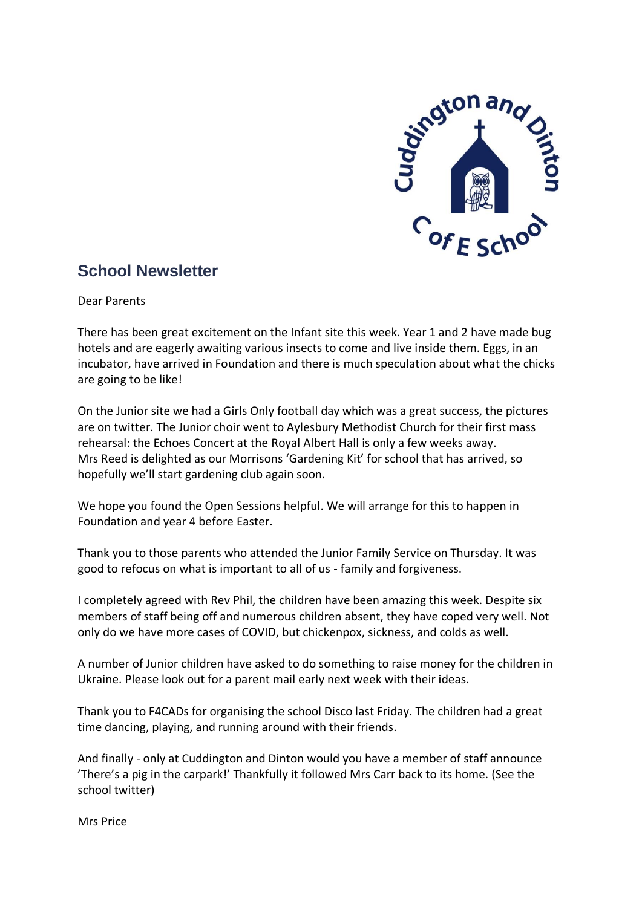

# **School Newsletter**

Dear Parents

There has been great excitement on the Infant site this week. Year 1 and 2 have made bug hotels and are eagerly awaiting various insects to come and live inside them. Eggs, in an incubator, have arrived in Foundation and there is much speculation about what the chicks are going to be like!

On the Junior site we had a Girls Only football day which was a great success, the pictures are on twitter. The Junior choir went to Aylesbury Methodist Church for their first mass rehearsal: the Echoes Concert at the Royal Albert Hall is only a few weeks away. Mrs Reed is delighted as our Morrisons 'Gardening Kit' for school that has arrived, so hopefully we'll start gardening club again soon.

We hope you found the Open Sessions helpful. We will arrange for this to happen in Foundation and year 4 before Easter.

Thank you to those parents who attended the Junior Family Service on Thursday. It was good to refocus on what is important to all of us - family and forgiveness.

I completely agreed with Rev Phil, the children have been amazing this week. Despite six members of staff being off and numerous children absent, they have coped very well. Not only do we have more cases of COVID, but chickenpox, sickness, and colds as well.

A number of Junior children have asked to do something to raise money for the children in Ukraine. Please look out for a parent mail early next week with their ideas.

Thank you to F4CADs for organising the school Disco last Friday. The children had a great time dancing, playing, and running around with their friends.

And finally - only at Cuddington and Dinton would you have a member of staff announce 'There's a pig in the carpark!' Thankfully it followed Mrs Carr back to its home. (See the school twitter)

Mrs Price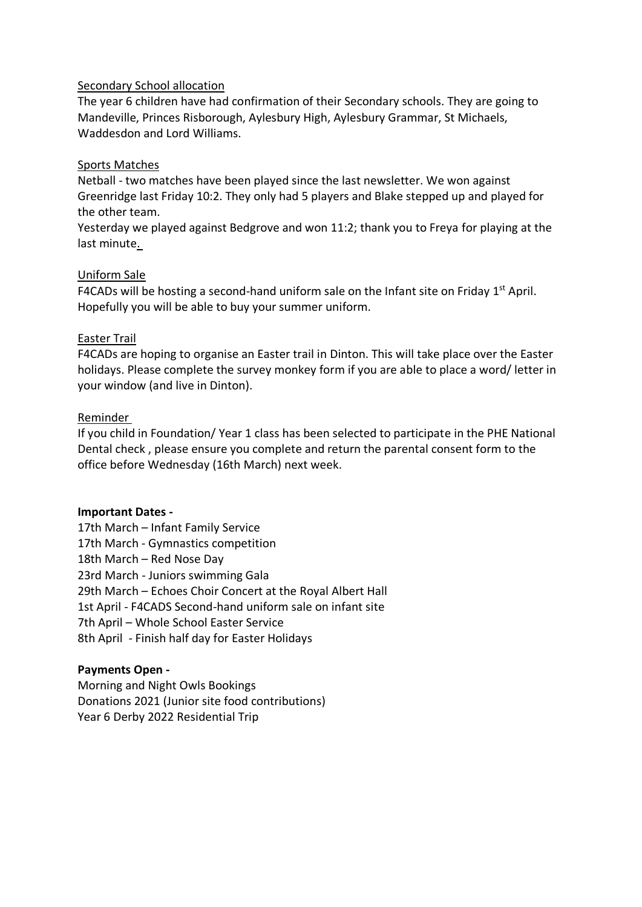#### Secondary School allocation

The year 6 children have had confirmation of their Secondary schools. They are going to Mandeville, Princes Risborough, Aylesbury High, Aylesbury Grammar, St Michaels, Waddesdon and Lord Williams.

### Sports Matches

Netball - two matches have been played since the last newsletter. We won against Greenridge last Friday 10:2. They only had 5 players and Blake stepped up and played for the other team.

Yesterday we played against Bedgrove and won 11:2; thank you to Freya for playing at the last minute.

### Uniform Sale

F4CADs will be hosting a second-hand uniform sale on the Infant site on Friday  $1<sup>st</sup>$  April. Hopefully you will be able to buy your summer uniform.

### Easter Trail

F4CADs are hoping to organise an Easter trail in Dinton. This will take place over the Easter holidays. Please complete the survey monkey form if you are able to place a word/ letter in your window (and live in Dinton).

### Reminder

If you child in Foundation/ Year 1 class has been selected to participate in the PHE National Dental check , please ensure you complete and return the parental consent form to the office before Wednesday (16th March) next week.

#### **Important Dates -**

17th March – Infant Family Service 17th March - Gymnastics competition 18th March – Red Nose Day 23rd March - Juniors swimming Gala 29th March – Echoes Choir Concert at the Royal Albert Hall 1st April - F4CADS Second-hand uniform sale on infant site 7th April – Whole School Easter Service 8th April - Finish half day for Easter Holidays

## **Payments Open -**

Morning and Night Owls Bookings Donations 2021 (Junior site food contributions) Year 6 Derby 2022 Residential Trip